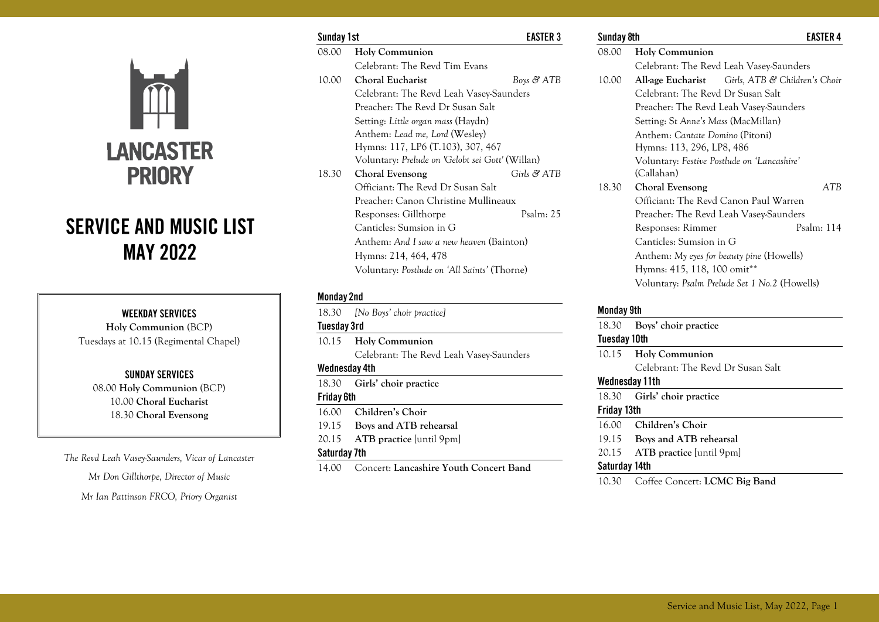

# **SERVICE AND MUSIC LIST MAY 2022**

## **WEEKDAY SERVICES**

**Holy Communion** (BCP) Tuesdays at 10.15 (Regimental Chapel)

**SUNDAY SERVICES** 08.00 **Holy Communion** (BCP) 10.00 **Choral Eucharist** 18.30 **Choral Evensong**

*The Revd Leah Vasey-Saunders, Vicar of Lancaster Mr Don Gillthorpe, Director of Music*

*Mr Ian Pattinson FRCO, Priory Organist*

| <b>Sunday 1st</b> |                                                  | <b>EASTER 3</b> |
|-------------------|--------------------------------------------------|-----------------|
| 08.00             | Holy Communion                                   |                 |
|                   | Celebrant: The Revd Tim Evans                    |                 |
| 10.00             | Choral Eucharist                                 | Boys & ATB      |
|                   | Celebrant: The Revd Leah Vasey-Saunders          |                 |
|                   | Preacher: The Revd Dr Susan Salt                 |                 |
|                   | Setting: Little organ mass (Haydn)               |                 |
|                   | Anthem: Lead me, Lord (Wesley)                   |                 |
|                   | Hymns: 117, LP6 (T.103), 307, 467                |                 |
|                   | Voluntary: Prelude on 'Gelobt sei Gott' (Willan) |                 |
| 18.30             | <b>Choral Evensong</b>                           | Girls & ATB     |
|                   | Officiant: The Revd Dr Susan Salt                |                 |
|                   | Preacher: Canon Christine Mullineaux             |                 |
|                   | Responses: Gillthorpe                            | Psalm: 25       |
|                   | Canticles: Sumsion in G                          |                 |
|                   | Anthem: And I saw a new heaven (Bainton)         |                 |
|                   | Hymns: 214, 464, 478                             |                 |
|                   | Voluntary: Postlude on 'All Saints' (Thorne)     |                 |
|                   |                                                  |                 |

### **Monday 2nd**

|                     | 18.30 [No Boys' choir practice]         |
|---------------------|-----------------------------------------|
| <b>Tuesday 3rd</b>  |                                         |
| 10.15               | Holy Communion                          |
|                     | Celebrant: The Revd Leah Vasey-Saunders |
| Wednesday 4th       |                                         |
|                     | 18.30 Girls' choir practice             |
| <b>Friday 6th</b>   |                                         |
| 16.00               | Children's Choir                        |
| 19.15               | Boys and ATB rehearsal                  |
| 20.15               | <b>ATB</b> practice [until 9pm]         |
| <b>Saturday 7th</b> |                                         |
| 14.00               | Concert: Lancashire Youth Concert Band  |

| Sunday 8th | EASTER 4                                                           |  |
|------------|--------------------------------------------------------------------|--|
| 08.00      | Holy Communion                                                     |  |
|            | Celebrant: The Revd Leah Vasey-Saunders                            |  |
| 10.00      | <b>All-age Eucharist</b> Girls, ATB $\mathcal{C}$ Children's Choir |  |
|            | Celebrant: The Revd Dr Susan Salt                                  |  |
|            | Preacher: The Revd Leah Vasey-Saunders                             |  |
|            | Setting: St Anne's Mass (MacMillan)                                |  |
|            | Anthem: Cantate Domino (Pitoni)                                    |  |
|            | Hymns: 113, 296, LP8, 486                                          |  |
|            | Voluntary: Festive Postlude on 'Lancashire'                        |  |
|            | (Callahan)                                                         |  |
| 18.30      | <b>Choral Evensong</b><br>ATB                                      |  |
|            | Officiant: The Revd Canon Paul Warren                              |  |
|            | Preacher: The Revd Leah Vasey-Saunders                             |  |
|            | Responses: Rimmer<br>Psalm: $114$                                  |  |
|            | Canticles: Sumsion in G                                            |  |
|            | Anthem: My eyes for beauty pine (Howells)                          |  |
|            | Hymns: 415, 118, 100 omit**                                        |  |
|            | Voluntary: Psalm Prelude Set 1 No.2 (Howells)                      |  |
|            |                                                                    |  |

#### **Monday 9th**

|                    | 18.30 Boys' choir practice        |
|--------------------|-----------------------------------|
| Tuesday 10th       |                                   |
|                    | 10.15 Holy Communion              |
|                    | Celebrant: The Revd Dr Susan Salt |
| Wednesday 11th     |                                   |
|                    | 18.30 Girls' choir practice       |
| <b>Friday 13th</b> |                                   |
|                    | 16.00 Children's Choir            |
|                    | 19.15 Boys and ATB rehearsal      |
| 20.15              | ATB practice [until 9pm]          |
| Saturday 14th      |                                   |
| 10.30              | Coffee Concert: LCMC Big Band     |